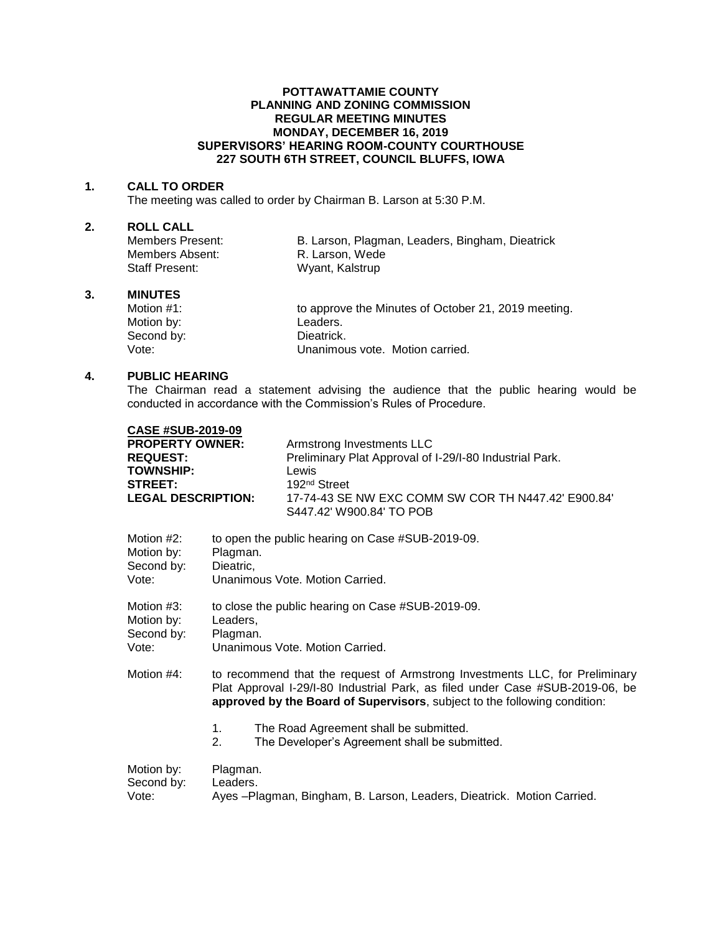### **POTTAWATTAMIE COUNTY PLANNING AND ZONING COMMISSION REGULAR MEETING MINUTES MONDAY, DECEMBER 16, 2019 SUPERVISORS' HEARING ROOM-COUNTY COURTHOUSE 227 SOUTH 6TH STREET, COUNCIL BLUFFS, IOWA**

#### **1. CALL TO ORDER**

The meeting was called to order by Chairman B. Larson at 5:30 P.M.

# **2. ROLL CALL**

Members Absent: R. Larson, Wede Staff Present: Wyant, Kalstrup

B. Larson, Plagman, Leaders, Bingham, Dieatrick

#### **3. MINUTES**

Motion #1: to approve the Minutes of October 21, 2019 meeting. Motion by: Leaders. Second by: Dieatrick.<br>
Vote: Unanimou Unanimous vote. Motion carried.

## **4. PUBLIC HEARING**

The Chairman read a statement advising the audience that the public hearing would be conducted in accordance with the Commission's Rules of Procedure.

| <b>CASE #SUB-2019-09</b>                    |                                                                                                                                                            |                                                                                 |
|---------------------------------------------|------------------------------------------------------------------------------------------------------------------------------------------------------------|---------------------------------------------------------------------------------|
| <b>PROPERTY OWNER:</b>                      |                                                                                                                                                            | Armstrong Investments LLC                                                       |
| <b>REQUEST:</b>                             |                                                                                                                                                            | Preliminary Plat Approval of I-29/I-80 Industrial Park.                         |
| <b>TOWNSHIP:</b>                            |                                                                                                                                                            | Lewis                                                                           |
| <b>STREET:</b><br><b>LEGAL DESCRIPTION:</b> |                                                                                                                                                            | 192 <sup>nd</sup> Street<br>17-74-43 SE NW EXC COMM SW COR TH N447.42' E900.84' |
|                                             |                                                                                                                                                            | S447.42' W900.84' TO POB                                                        |
|                                             |                                                                                                                                                            |                                                                                 |
| Motion #2:                                  | to open the public hearing on Case #SUB-2019-09.<br>Plagman.                                                                                               |                                                                                 |
| Motion by:<br>Second by:                    | Dieatric,                                                                                                                                                  |                                                                                 |
| Vote:                                       | Unanimous Vote, Motion Carried.                                                                                                                            |                                                                                 |
|                                             |                                                                                                                                                            |                                                                                 |
| Motion $#3$ :                               | to close the public hearing on Case #SUB-2019-09.                                                                                                          |                                                                                 |
| Motion by:<br>Second by:                    | Leaders.<br>Plagman.                                                                                                                                       |                                                                                 |
| Vote:                                       | Unanimous Vote, Motion Carried.                                                                                                                            |                                                                                 |
|                                             |                                                                                                                                                            |                                                                                 |
| Motion #4:                                  | to recommend that the request of Armstrong Investments LLC, for Preliminary                                                                                |                                                                                 |
|                                             | Plat Approval I-29/I-80 Industrial Park, as filed under Case #SUB-2019-06, be<br>approved by the Board of Supervisors, subject to the following condition: |                                                                                 |
|                                             |                                                                                                                                                            |                                                                                 |
|                                             | $1_{-}$                                                                                                                                                    | The Road Agreement shall be submitted.                                          |
|                                             | 2.                                                                                                                                                         | The Developer's Agreement shall be submitted.                                   |
| Motion by:                                  | Plagman.                                                                                                                                                   |                                                                                 |
| Second by:                                  | Leaders.                                                                                                                                                   |                                                                                 |
| Vote:                                       | Ayes - Plagman, Bingham, B. Larson, Leaders, Dieatrick. Motion Carried.                                                                                    |                                                                                 |
|                                             |                                                                                                                                                            |                                                                                 |